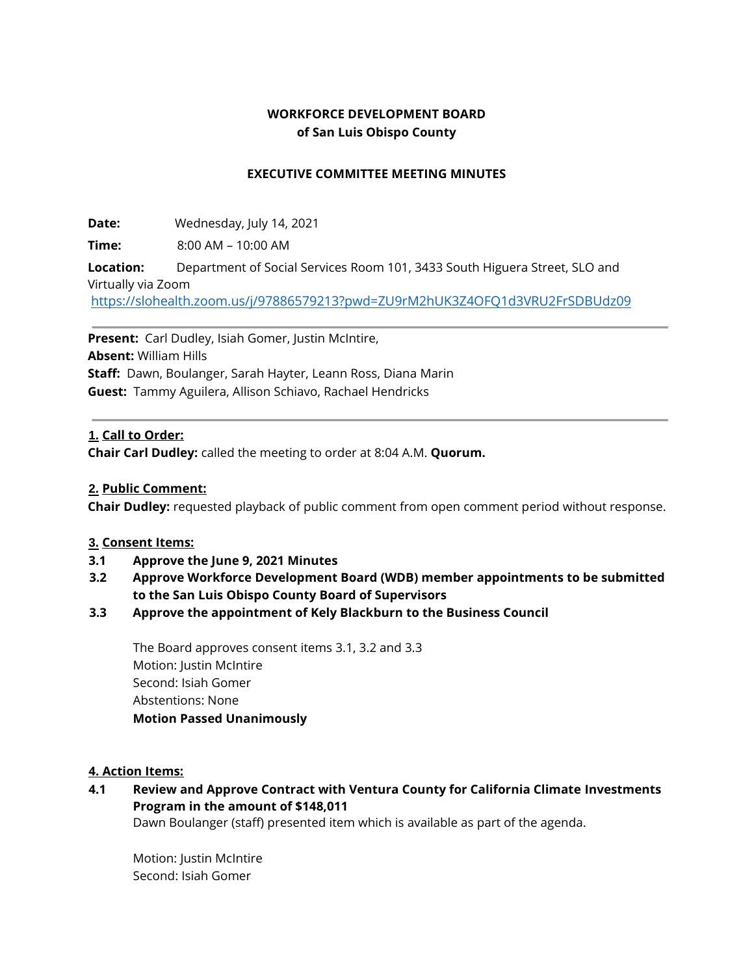## **WORKFORCE DEVELOPMENT BOARD of San Luis Obispo County**

#### **EXECUTIVE COMMITTEE MEETING MINUTES**

**Date:** Wednesday, July 14, 2021

**Time:** 8:00 AM – 10:00 AM

**Location:** Department of Social Services Room 101, 3433 South Higuera Street, SLO and Virtually via Zoom

<https://slohealth.zoom.us/j/97886579213?pwd=ZU9rM2hUK3Z4OFQ1d3VRU2FrSDBUdz09>

**Present:** Carl Dudley, Isiah Gomer, Justin McIntire, **Absent:** William Hills **Staff:** Dawn, Boulanger, Sarah Hayter, Leann Ross, Diana Marin **Guest:** Tammy Aguilera, Allison Schiavo, Rachael Hendricks

#### **1. Call to Order:**

**Chair Carl Dudley:** called the meeting to order at 8:04 A.M. **Quorum.**

#### **2. Public Comment:**

**Chair Dudley:** requested playback of public comment from open comment period without response.

#### **3. Consent Items:**

- **3.1 Approve the June 9, 2021 Minutes**
- **3.2 Approve Workforce Development Board (WDB) member appointments to be submitted to the San Luis Obispo County Board of Supervisors**
- **3.3 Approve the appointment of Kely Blackburn to the Business Council**

The Board approves consent items 3.1, 3.2 and 3.3 Motion: Justin McIntire Second: Isiah Gomer Abstentions: None **Motion Passed Unanimously** 

#### **4. Action Items:**

# **4.1 Review and Approve Contract with Ventura County for California Climate Investments Program in the amount of \$148,011**

Dawn Boulanger (staff) presented item which is available as part of the agenda.

Motion: Justin McIntire Second: Isiah Gomer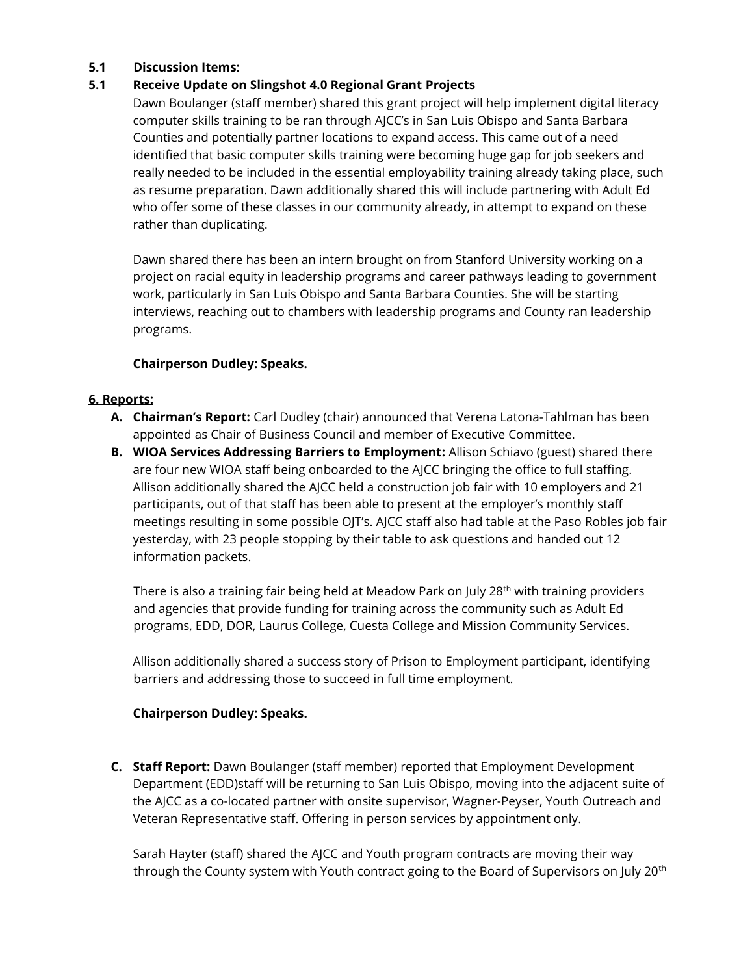## **5.1 Discussion Items:**

## **5.1 Receive Update on Slingshot 4.0 Regional Grant Projects**

Dawn Boulanger (staff member) shared this grant project will help implement digital literacy computer skills training to be ran through AJCC's in San Luis Obispo and Santa Barbara Counties and potentially partner locations to expand access. This came out of a need identified that basic computer skills training were becoming huge gap for job seekers and really needed to be included in the essential employability training already taking place, such as resume preparation. Dawn additionally shared this will include partnering with Adult Ed who offer some of these classes in our community already, in attempt to expand on these rather than duplicating.

Dawn shared there has been an intern brought on from Stanford University working on a project on racial equity in leadership programs and career pathways leading to government work, particularly in San Luis Obispo and Santa Barbara Counties. She will be starting interviews, reaching out to chambers with leadership programs and County ran leadership programs.

### **Chairperson Dudley: Speaks.**

### **6. Reports:**

- **A. Chairman's Report:** Carl Dudley (chair) announced that Verena Latona-Tahlman has been appointed as Chair of Business Council and member of Executive Committee.
- **B. WIOA Services Addressing Barriers to Employment:** Allison Schiavo (guest) shared there are four new WIOA staff being onboarded to the AJCC bringing the office to full staffing. Allison additionally shared the AJCC held a construction job fair with 10 employers and 21 participants, out of that staff has been able to present at the employer's monthly staff meetings resulting in some possible OJT's. AJCC staff also had table at the Paso Robles job fair yesterday, with 23 people stopping by their table to ask questions and handed out 12 information packets.

There is also a training fair being held at Meadow Park on July 28<sup>th</sup> with training providers and agencies that provide funding for training across the community such as Adult Ed programs, EDD, DOR, Laurus College, Cuesta College and Mission Community Services.

Allison additionally shared a success story of Prison to Employment participant, identifying barriers and addressing those to succeed in full time employment.

### **Chairperson Dudley: Speaks.**

**C. Staff Report:** Dawn Boulanger (staff member) reported that Employment Development Department (EDD)staff will be returning to San Luis Obispo, moving into the adjacent suite of the AJCC as a co-located partner with onsite supervisor, Wagner-Peyser, Youth Outreach and Veteran Representative staff. Offering in person services by appointment only.

Sarah Hayter (staff) shared the AJCC and Youth program contracts are moving their way through the County system with Youth contract going to the Board of Supervisors on July 20<sup>th</sup>